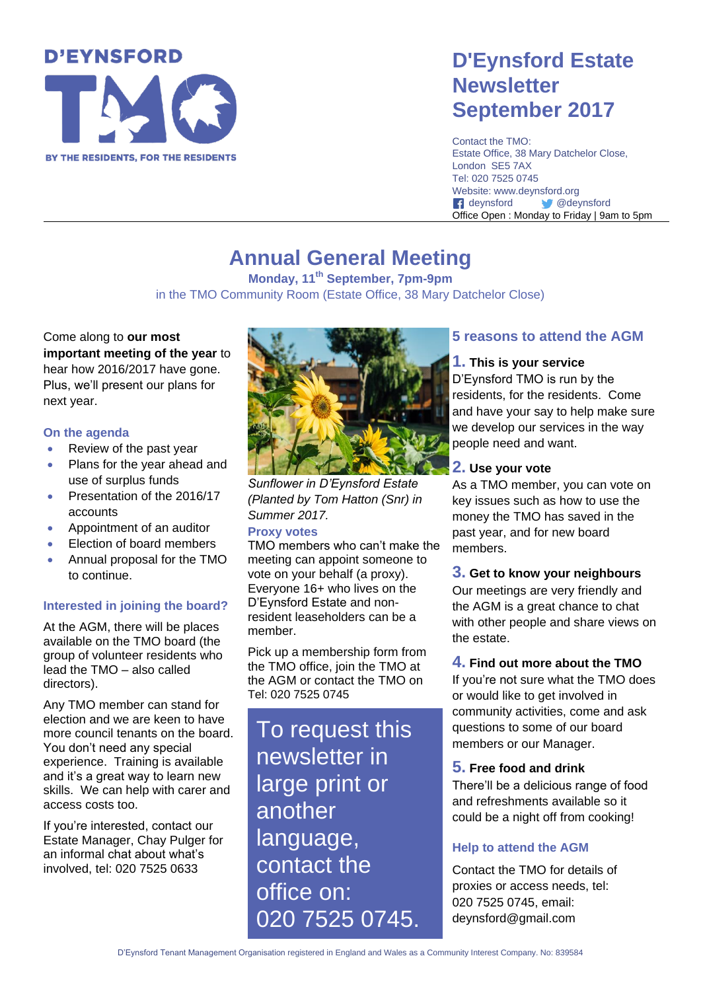# **D'EYNSFORD** BY THE RESIDENTS, FOR THE RESIDENTS

### **D'Eynsford Estate Newsletter September 2017**

Contact the TMO: Estate Office, 38 Mary Datchelor Close, London SE5 7AX Tel: 020 7525 0745 Website: www.deynsford.org f deynsford **@deynsford** Office Open : Monday to Friday | 9am to 5pm

### **Annual General Meeting**

**Monday, 11th September, 7pm-9pm** in the TMO Community Room (Estate Office, 38 Mary Datchelor Close)

Come along to **our most important meeting of the year** to hear how 2016/2017 have gone. Plus, we'll present our plans for next year.

### **On the agenda**

- Review of the past year
- Plans for the year ahead and use of surplus funds
- Presentation of the 2016/17 accounts
- Appointment of an auditor
- Election of board members
- Annual proposal for the TMO to continue.

### **Interested in joining the board?**

At the AGM, there will be places available on the TMO board (the group of volunteer residents who lead the TMO – also called directors).

Any TMO member can stand for election and we are keen to have more council tenants on the board. You don't need any special experience. Training is available and it's a great way to learn new skills. We can help with carer and access costs too.

If you're interested, contact our Estate Manager, Chay Pulger for an informal chat about what's involved, tel: 020 7525 0633



*Sunflower in D'Eynsford Estate (Planted by Tom Hatton (Snr) in Summer 2017.*

### **Proxy votes**

TMO members who can't make the meeting can appoint someone to vote on your behalf (a proxy). Everyone 16+ who lives on the D'Eynsford Estate and nonresident leaseholders can be a member.

Pick up a membership form from the TMO office, join the TMO at the AGM or contact the TMO on Tel: 020 7525 0745

To request this newsletter in large print or another language, contact the office on: 020 7525 0745.

### **5 reasons to attend the AGM**

### **1. This is your service**

D'Eynsford TMO is run by the residents, for the residents. Come and have your say to help make sure we develop our services in the way people need and want.

### **2. Use your vote**

As a TMO member, you can vote on key issues such as how to use the money the TMO has saved in the past year, and for new board members.

### **3. Get to know your neighbours**

Our meetings are very friendly and the AGM is a great chance to chat with other people and share views on the estate.

### **4. Find out more about the TMO**

If you're not sure what the TMO does or would like to get involved in community activities, come and ask questions to some of our board members or our Manager.

### **5. Free food and drink**

There'll be a delicious range of food and refreshments available so it could be a night off from cooking!

### **Help to attend the AGM**

Contact the TMO for details of proxies or access needs, tel: 020 7525 0745, email: deynsford@gmail.com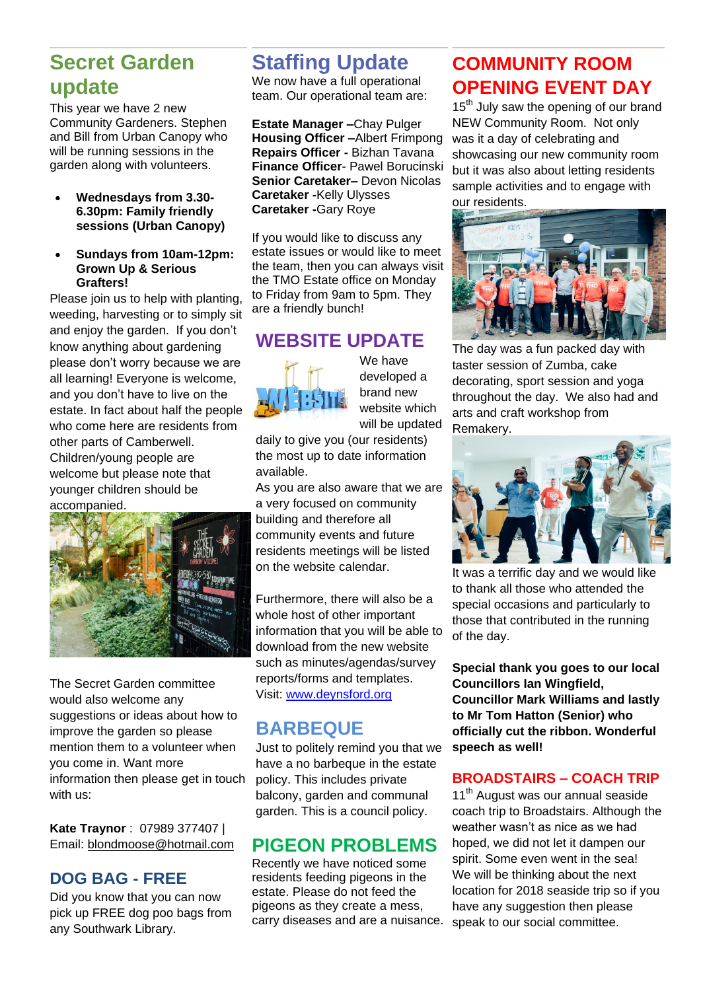### **Secret Garden update**

This year we have 2 new Community Gardeners. Stephen and Bill from Urban Canopy who will be running sessions in the garden along with volunteers.

- **Wednesdays from 3.30- 6.30pm: Family friendly sessions (Urban Canopy)**
- **Sundays from 10am-12pm: Grown Up & Serious Grafters!**

Please join us to help with planting, weeding, harvesting or to simply sit and enjoy the garden. If you don't know anything about gardening please don't worry because we are all learning! Everyone is welcome, and you don't have to live on the estate. In fact about half the people who come here are residents from other parts of Camberwell. Children/young people are welcome but please note that younger children should be accompanied.



The Secret Garden committee would also welcome any suggestions or ideas about how to improve the garden so please mention them to a volunteer when you come in. Want more information then please get in touch with us:

**Kate Traynor** : 07989 377407 | Email: [blondmoose@hotmail.com](mailto:blondmoose@hotmail.com)

### **DOG BAG - FREE**

Did you know that you can now pick up FREE dog poo bags from any Southwark Library.

### **Staffing Update**

We now have a full operational team. Our operational team are:

**Estate Manager –**Chay Pulger **Housing Officer –**Albert Frimpong **Repairs Officer -** Bizhan Tavana **Finance Officer**- Pawel Borucinski **Senior Caretaker–** Devon Nicolas **Caretaker -**Kelly Ulysses **Caretaker -**Gary Roye

If you would like to discuss any estate issues or would like to meet the team, then you can always visit the TMO Estate office on Monday to Friday from 9am to 5pm. They are a friendly bunch!

### **WEBSITE UPDATE**



We have developed a brand new website which will be updated

daily to give you (our residents) the most up to date information available.

As you are also aware that we are a very focused on community building and therefore all community events and future residents meetings will be listed on the website calendar.

Furthermore, there will also be a whole host of other important information that you will be able to download from the new website such as minutes/agendas/survey reports/forms and templates. Visit: [www.deynsford.org](http://www.deynsford.org/)

### **BARBEQUE**

Just to politely remind you that we have a no barbeque in the estate policy. This includes private balcony, garden and communal garden. This is a council policy.

### **PIGEON PROBLEMS**

Recently we have noticed some residents feeding pigeons in the estate. Please do not feed the pigeons as they create a mess, carry diseases and are a nuisance.

### **COMMUNITY ROOM OPENING EVENT DAY**

15<sup>th</sup> July saw the opening of our brand NEW Community Room. Not only was it a day of celebrating and showcasing our new community room but it was also about letting residents sample activities and to engage with our residents.



The day was a fun packed day with taster session of Zumba, cake decorating, sport session and yoga throughout the day. We also had and arts and craft workshop from Remakery.



It was a terrific day and we would like to thank all those who attended the special occasions and particularly to those that contributed in the running of the day.

**Special thank you goes to our local Councillors Ian Wingfield, Councillor Mark Williams and lastly to Mr Tom Hatton (Senior) who officially cut the ribbon. Wonderful speech as well!** 

### **BROADSTAIRS – COACH TRIP**

11<sup>th</sup> August was our annual seaside coach trip to Broadstairs. Although the weather wasn't as nice as we had hoped, we did not let it dampen our spirit. Some even went in the sea! We will be thinking about the next location for 2018 seaside trip so if you have any suggestion then please speak to our social committee.